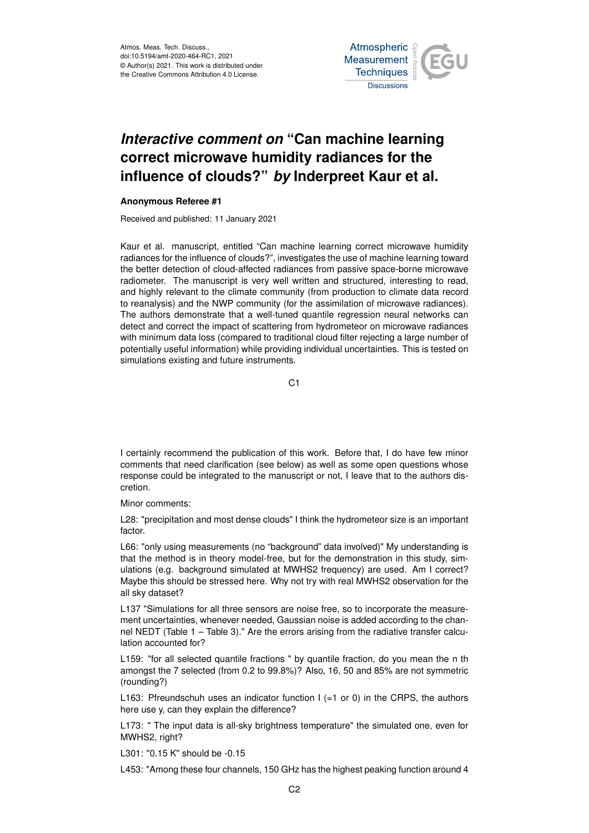Atmos. Meas. Tech. Discuss., doi:10.5194/amt-2020-464-RC1, 2021 © Author(s) 2021. This work is distributed under the Creative Commons Attribution 4.0 License.



## *Interactive comment on* **"Can machine learning correct microwave humidity radiances for the influence of clouds?"** *by* **Inderpreet Kaur et al.**

## **Anonymous Referee #1**

Received and published: 11 January 2021

Kaur et al. manuscript, entitled "Can machine learning correct microwave humidity radiances for the influence of clouds?", investigates the use of machine learning toward the better detection of cloud-affected radiances from passive space-borne microwave radiometer. The manuscript is very well written and structured, interesting to read, and highly relevant to the climate community (from production to climate data record to reanalysis) and the NWP community (for the assimilation of microwave radiances). The authors demonstrate that a well-tuned quantile regression neural networks can detect and correct the impact of scattering from hydrometeor on microwave radiances with minimum data loss (compared to traditional cloud filter rejecting a large number of potentially useful information) while providing individual uncertainties. This is tested on simulations existing and future instruments.

 $C<sub>1</sub>$ 

I certainly recommend the publication of this work. Before that, I do have few minor comments that need clarification (see below) as well as some open questions whose response could be integrated to the manuscript or not, I leave that to the authors discretion.

Minor comments:

L28: "precipitation and most dense clouds" I think the hydrometeor size is an important factor.

L66: "only using measurements (no "background" data involved)" My understanding is that the method is in theory model-free, but for the demonstration in this study, simulations (e.g. background simulated at MWHS2 frequency) are used. Am I correct? Maybe this should be stressed here. Why not try with real MWHS2 observation for the all sky dataset?

L137 "Simulations for all three sensors are noise free, so to incorporate the measurement uncertainties, whenever needed, Gaussian noise is added according to the channel NEDT (Table 1 – Table 3)." Are the errors arising from the radiative transfer calculation accounted for?

L159: "for all selected quantile fractions " by quantile fraction, do you mean the n th amongst the 7 selected (from 0.2 to 99.8%)? Also, 16, 50 and 85% are not symmetric (rounding?)

L163: Pfreundschuh uses an indicator function  $I (=1 \text{ or } 0)$  in the CRPS, the authors here use y, can they explain the difference?

L173: " The input data is all-sky brightness temperature" the simulated one, even for MWHS2, right?

L301: "0.15 K" should be -0.15

L453: "Among these four channels, 150 GHz has the highest peaking function around 4